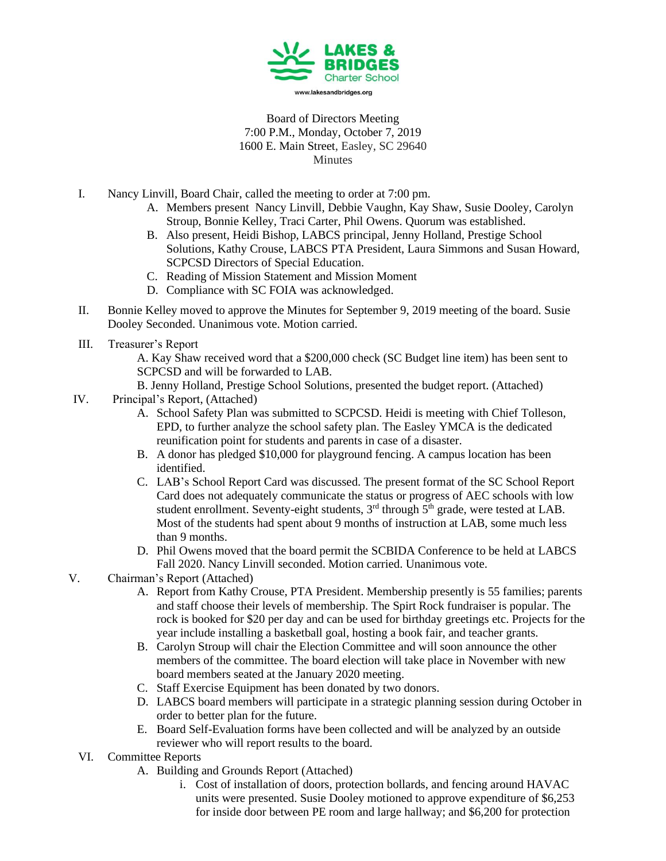

Board of Directors Meeting 7:00 P.M., Monday, October 7, 2019 1600 E. Main Street, Easley, SC 29640 Minutes

- I. Nancy Linvill, Board Chair, called the meeting to order at 7:00 pm.
	- A. Members present Nancy Linvill, Debbie Vaughn, Kay Shaw, Susie Dooley, Carolyn Stroup, Bonnie Kelley, Traci Carter, Phil Owens. Quorum was established.
	- B. Also present, Heidi Bishop, LABCS principal, Jenny Holland, Prestige School Solutions, Kathy Crouse, LABCS PTA President, Laura Simmons and Susan Howard, SCPCSD Directors of Special Education.
	- C. Reading of Mission Statement and Mission Moment
	- D. Compliance with SC FOIA was acknowledged.
- II. Bonnie Kelley moved to approve the Minutes for September 9, 2019 meeting of the board. Susie Dooley Seconded. Unanimous vote. Motion carried.
- III. Treasurer's Report

A. Kay Shaw received word that a \$200,000 check (SC Budget line item) has been sent to SCPCSD and will be forwarded to LAB.

B. Jenny Holland, Prestige School Solutions, presented the budget report. (Attached)

- IV. Principal's Report, (Attached)
	- A. School Safety Plan was submitted to SCPCSD. Heidi is meeting with Chief Tolleson, EPD, to further analyze the school safety plan. The Easley YMCA is the dedicated reunification point for students and parents in case of a disaster.
	- B. A donor has pledged \$10,000 for playground fencing. A campus location has been identified.
	- C. LAB's School Report Card was discussed. The present format of the SC School Report Card does not adequately communicate the status or progress of AEC schools with low student enrollment. Seventy-eight students,  $3<sup>rd</sup>$  through  $5<sup>th</sup>$  grade, were tested at LAB. Most of the students had spent about 9 months of instruction at LAB, some much less than 9 months.
	- D. Phil Owens moved that the board permit the SCBIDA Conference to be held at LABCS Fall 2020. Nancy Linvill seconded. Motion carried. Unanimous vote.
- V. Chairman's Report (Attached)
	- A. Report from Kathy Crouse, PTA President. Membership presently is 55 families; parents and staff choose their levels of membership. The Spirt Rock fundraiser is popular. The rock is booked for \$20 per day and can be used for birthday greetings etc. Projects for the year include installing a basketball goal, hosting a book fair, and teacher grants.
	- B. Carolyn Stroup will chair the Election Committee and will soon announce the other members of the committee. The board election will take place in November with new board members seated at the January 2020 meeting.
	- C. Staff Exercise Equipment has been donated by two donors.
	- D. LABCS board members will participate in a strategic planning session during October in order to better plan for the future.
	- E. Board Self-Evaluation forms have been collected and will be analyzed by an outside reviewer who will report results to the board.
	- VI. Committee Reports
		- A. Building and Grounds Report (Attached)
			- i. Cost of installation of doors, protection bollards, and fencing around HAVAC units were presented. Susie Dooley motioned to approve expenditure of \$6,253 for inside door between PE room and large hallway; and \$6,200 for protection